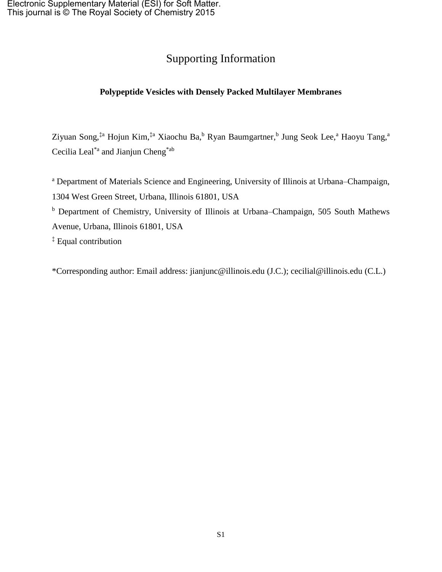## Supporting Information

## **Polypeptide Vesicles with Densely Packed Multilayer Membranes**

Ziyuan Song,<sup>‡a</sup> Hojun Kim,<sup>‡a</sup> Xiaochu Ba,<sup>b</sup> Ryan Baumgartner,<sup>b</sup> Jung Seok Lee,<sup>a</sup> Haoyu Tang,<sup>a</sup> Cecilia Leal\*a and Jianjun Cheng\*ab

<sup>a</sup> Department of Materials Science and Engineering, University of Illinois at Urbana–Champaign, 1304 West Green Street, Urbana, Illinois 61801, USA

<sup>b</sup> Department of Chemistry, University of Illinois at Urbana–Champaign, 505 South Mathews Avenue, Urbana, Illinois 61801, USA

‡ Equal contribution

\*Corresponding author: Email address: jianjunc@illinois.edu (J.C.); cecilial@illinois.edu (C.L.)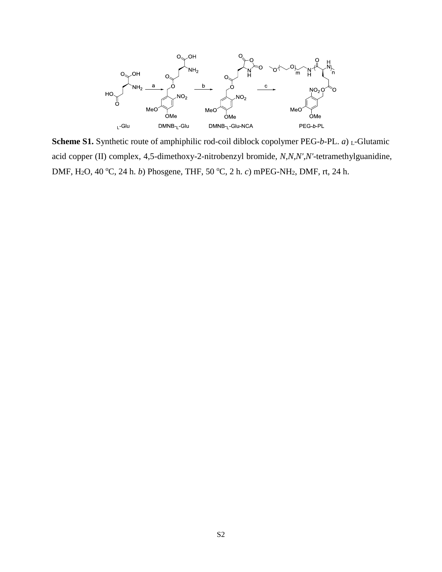

**Scheme S1.** Synthetic route of amphiphilic rod-coil diblock copolymer PEG-*b*-PL. *a*) L-Glutamic acid copper (II) complex, 4,5-dimethoxy-2-nitrobenzyl bromide, *N*,*N*,*N'*,*N'*-tetramethylguanidine, DMF, H<sub>2</sub>O, 40 °C, 24 h. *b*) Phosgene, THF, 50 °C, 2 h. *c*) mPEG-NH<sub>2</sub>, DMF, rt, 24 h.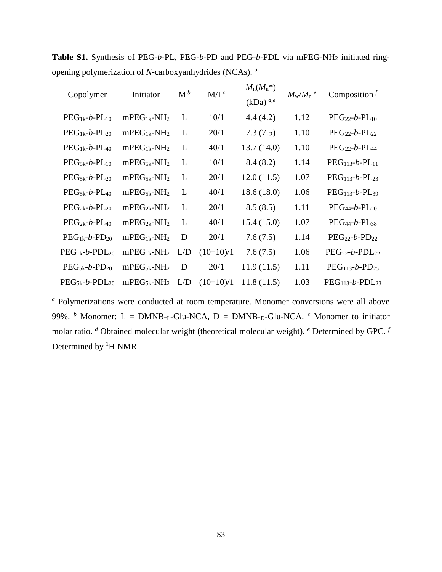| Copolymer                       | Initiator                    | $\mathbf{M}^b$ | $M/I^c$     | $M_n(M_n^*)$<br>$(kDa)^{d,e}$ | $M_{\rm w}/M_{\rm n}$ <sup>e</sup> | Composition $f$                 |
|---------------------------------|------------------------------|----------------|-------------|-------------------------------|------------------------------------|---------------------------------|
| $PEG_{1k}$ -b-PL <sub>10</sub>  | $mPEG_{1k}$ -NH <sub>2</sub> | L              | 10/1        | 4.4(4.2)                      | 1.12                               | $PEG22-b-PL10$                  |
| $PEG_{1k}$ -b-PL <sub>20</sub>  | $mPEG_{1k}$ -NH <sub>2</sub> | L              | 20/1        | 7.3(7.5)                      | 1.10                               | $PEG_{22}$ -b-PL <sub>22</sub>  |
| $PEG_{1k}$ -b-PL <sub>40</sub>  | $mPEG_{1k}$ -NH <sub>2</sub> | L              | 40/1        | 13.7(14.0)                    | 1.10                               | $PEG_{22}$ -b-PL <sub>44</sub>  |
| $PEG_{5k}$ -b-PL <sub>10</sub>  | $mPEG_{5k}$ -NH <sub>2</sub> | L              | 10/1        | 8.4(8.2)                      | 1.14                               | $PEG113 - b - PL11$             |
| $PEG_{5k}$ -b-PL <sub>20</sub>  | $mPEG_{5k}$ -NH <sub>2</sub> | L              | 20/1        | 12.0(11.5)                    | 1.07                               | $PEG113 - b - PL23$             |
| $PEG_{5k}$ -b-PL <sub>40</sub>  | $mPEG_{5k}$ -NH <sub>2</sub> | L              | 40/1        | 18.6(18.0)                    | 1.06                               | $PEG113 - b - PL39$             |
| $PEG_{2k}$ -b-PL <sub>20</sub>  | $mPEG_{2k}$ -NH <sub>2</sub> | L              | 20/1        | 8.5(8.5)                      | 1.11                               | $PEG44-b-PL20$                  |
| $PEG_{2k}$ -b-PL <sub>40</sub>  | $mPEG_{2k}$ -NH <sub>2</sub> | L              | 40/1        | 15.4(15.0)                    | 1.07                               | $PEG_{44}$ -b-PL <sub>38</sub>  |
| $PEG_{1k}$ -b-PD <sub>20</sub>  | $mPEG_{1k}$ -NH <sub>2</sub> | D              | 20/1        | 7.6(7.5)                      | 1.14                               | $PEG_{22}$ -b-PD <sub>22</sub>  |
| $PEG_{1k}$ -b-PDL <sub>20</sub> | $mPEG_{1k}$ -NH <sub>2</sub> | L/D            | $(10+10)/1$ | 7.6(7.5)                      | 1.06                               | $PEG_{22}$ -b-PDL <sub>22</sub> |
| $PEG_{5k}$ - $b$ - $PD_{20}$    | $mPEG_{5k}$ -NH <sub>2</sub> | D              | 20/1        | 11.9(11.5)                    | 1.11                               | $PEG113-b-PD25$                 |
| $PEG_{5k}$ -b-PDL <sub>20</sub> | $mPEG_{5k}$ -NH <sub>2</sub> | L/D            | $(10+10)/1$ | 11.8(11.5)                    | 1.03                               | $PEG113 - b - PDL23$            |

**Table S1.** Synthesis of PEG-*b*-PL, PEG-*b*-PD and PEG-*b*-PDL via mPEG-NH<sup>2</sup> initiated ringopening polymerization of *N*-carboxyanhydrides (NCAs). *a*

*<sup>a</sup>* Polymerizations were conducted at room temperature. Monomer conversions were all above 99%. *<sup>b</sup>* Monomer: L = DMNB-L-Glu-NCA, D = DMNB-D-Glu-NCA. *<sup>c</sup>* Monomer to initiator molar ratio. *<sup>d</sup>* Obtained molecular weight (theoretical molecular weight). *<sup>e</sup>* Determined by GPC. *<sup>f</sup>* Determined by <sup>1</sup>H NMR.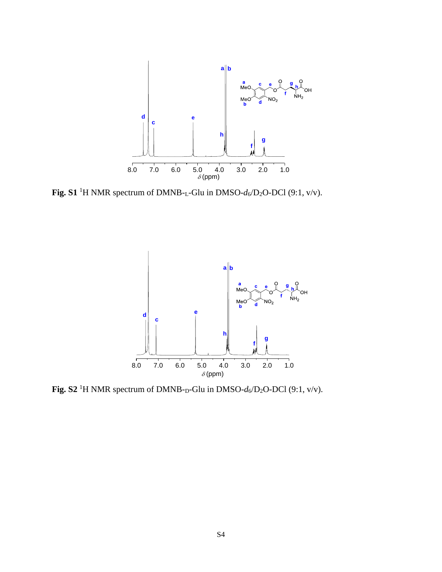

**Fig. S1**<sup>1</sup>H NMR spectrum of DMNB-<sub>L</sub>-Glu in DMSO- $d_6$ /D<sub>2</sub>O-DCl (9:1, v/v).



**Fig.** S2<sup>1</sup>H NMR spectrum of DMNB-<sub>D</sub>-Glu in DMSO- $d_6$ /D<sub>2</sub>O-DCl (9:1, v/v).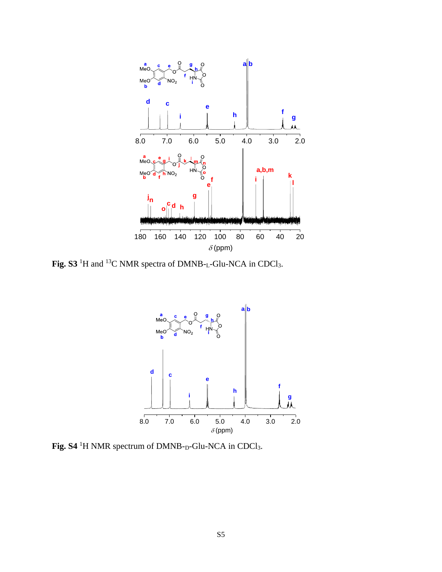

**Fig. S3** <sup>1</sup>H and <sup>13</sup>C NMR spectra of DMNB-L-Glu-NCA in CDCl3.



Fig. S4<sup>1</sup>H NMR spectrum of DMNB-<sub>D</sub>-Glu-NCA in CDCl<sub>3</sub>.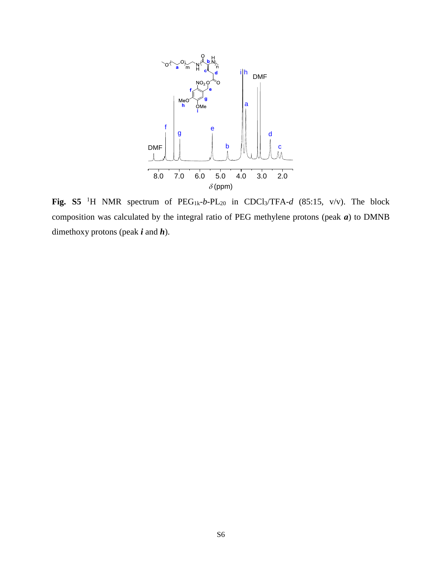

**Fig.** S5<sup>1</sup>H NMR spectrum of  $PEG_{1k}$ - $b$ - $PL_{20}$  in CDCl<sub>3</sub>/TFA- $d$  (85:15, v/v). The block composition was calculated by the integral ratio of PEG methylene protons (peak *a*) to DMNB dimethoxy protons (peak *i* and *h*).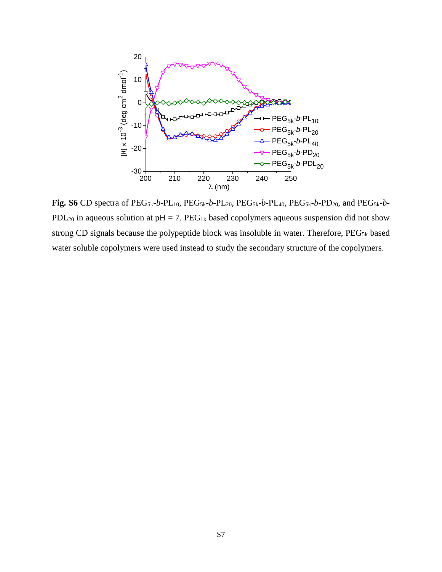

**Fig. S6** CD spectra of PEG5k-*b*-PL10, PEG5k-*b*-PL20, PEG5k-*b*-PL40, PEG5k-*b*-PD20, and PEG5k-*b*-PDL<sub>20</sub> in aqueous solution at  $pH = 7$ . PEG<sub>1k</sub> based copolymers aqueous suspension did not show strong CD signals because the polypeptide block was insoluble in water. Therefore, PEG<sub>5k</sub> based water soluble copolymers were used instead to study the secondary structure of the copolymers.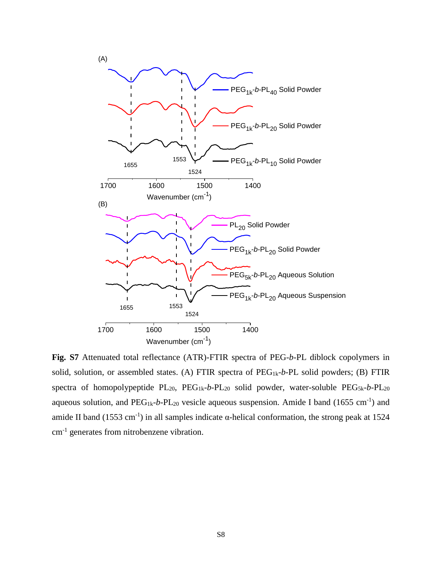

**Fig. S7** Attenuated total reflectance (ATR)-FTIR spectra of PEG-*b*-PL diblock copolymers in solid, solution, or assembled states. (A) FTIR spectra of PEG<sub>1k</sub>-b-PL solid powders; (B) FTIR spectra of homopolypeptide PL<sub>20</sub>, PEG<sub>1k</sub>-*b*-PL<sub>20</sub> solid powder, water-soluble PEG<sub>5k</sub>-*b*-PL<sub>20</sub> aqueous solution, and  $PEG_{1k}$ -b-PL<sub>20</sub> vesicle aqueous suspension. Amide I band (1655 cm<sup>-1</sup>) and amide II band (1553 cm<sup>-1</sup>) in all samples indicate  $\alpha$ -helical conformation, the strong peak at 1524 cm<sup>-1</sup> generates from nitrobenzene vibration.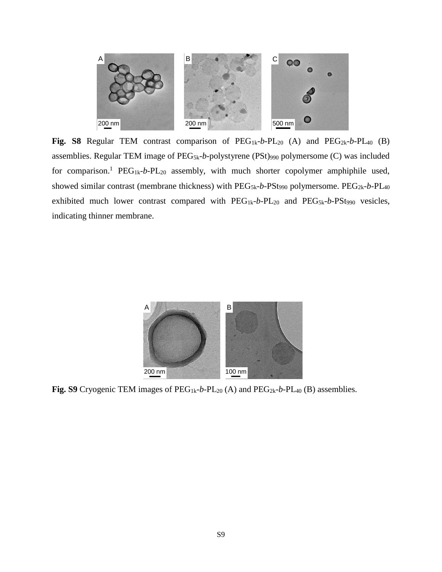

**Fig.** S8 Regular TEM contrast comparison of  $\text{PEG}_{1k}$ -b- $\text{PL}_{20}$  (A) and  $\text{PEG}_{2k}$ -b- $\text{PL}_{40}$  (B) assemblies. Regular TEM image of PEG5k-*b*-polystyrene (PSt)<sup>990</sup> polymersome (C) was included for comparison.[1](#page-10-0) PEG1k-*b*-PL<sup>20</sup> assembly, with much shorter copolymer amphiphile used, showed similar contrast (membrane thickness) with PEG<sub>5k</sub>-b-PSt<sub>990</sub> polymersome. PEG<sub>2k</sub>-b-PL<sub>40</sub> exhibited much lower contrast compared with  $PEG_{1k}$ - $b$ - $PL_{20}$  and  $PEG_{5k}$ - $b$ - $PS_{990}$  vesicles, indicating thinner membrane.



**Fig. S9** Cryogenic TEM images of PEG<sub>1k</sub>-*b*-PL<sub>20</sub> (A) and PEG<sub>2k</sub>-*b*-PL<sub>40</sub> (B) assemblies.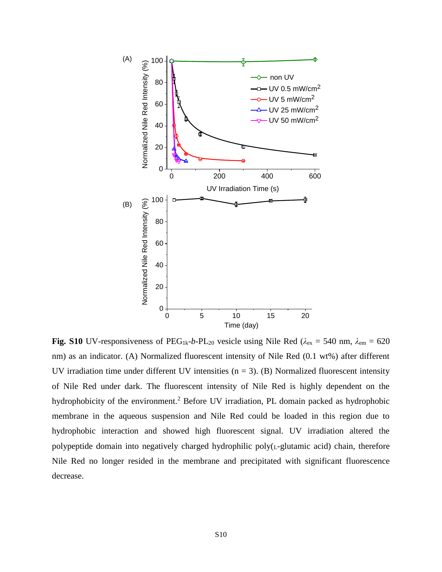

**Fig.** S10 UV-responsiveness of PEG<sub>1k-</sub>*b*-PL<sub>20</sub> vesicle using Nile Red ( $\lambda_{\text{ex}} = 540$  nm,  $\lambda_{\text{em}} = 620$ ) nm) as an indicator. (A) Normalized fluorescent intensity of Nile Red (0.1 wt%) after different UV irradiation time under different UV intensities  $(n = 3)$ . (B) Normalized fluorescent intensity of Nile Red under dark. The fluorescent intensity of Nile Red is highly dependent on the hydrophobicity of the environment.<sup>[2](#page-10-1)</sup> Before UV irradiation, PL domain packed as hydrophobic membrane in the aqueous suspension and Nile Red could be loaded in this region due to hydrophobic interaction and showed high fluorescent signal. UV irradiation altered the polypeptide domain into negatively charged hydrophilic poly(L-glutamic acid) chain, therefore Nile Red no longer resided in the membrane and precipitated with significant fluorescence decrease.